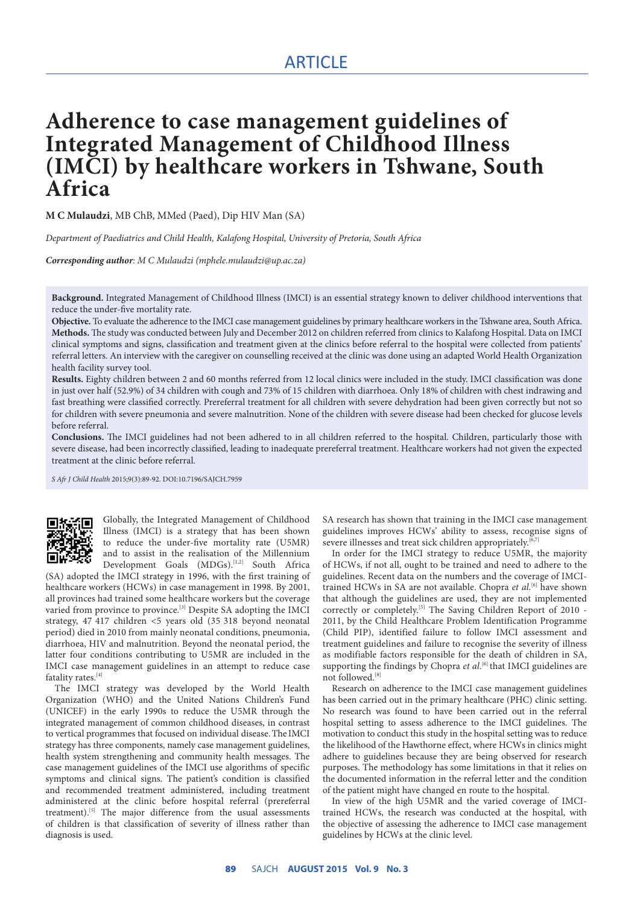# ARTICLE

# **Adherence to case management guidelines of Integrated Management of Childhood Illness (IMCI) by healthcare workers in Tshwane, South Africa**

**M C Mulaudzi**, MB ChB, MMed (Paed), Dip HIV Man (SA)

*Department of Paediatrics and Child Health, Kalafong Hospital, University of Pretoria, South Africa*

*Corresponding author: M C Mulaudzi (mphele.mulaudzi@up.ac.za)*

**Background.** Integrated Management of Childhood Illness (IMCI) is an essential strategy known to deliver childhood interventions that reduce the under-five mortality rate.

**Objective.** To evaluate the adherence to the IMCI case management guidelines by primary healthcare workers in the Tshwane area, South Africa. **Methods.** The study was conducted between July and December 2012 on children referred from clinics to Kalafong Hospital. Data on IMCI clinical symptoms and signs, classification and treatment given at the clinics before referral to the hospital were collected from patients' referral letters. An interview with the caregiver on counselling received at the clinic was done using an adapted World Health Organization health facility survey tool.

**Results.** Eighty children between 2 and 60 months referred from 12 local clinics were included in the study. IMCI classification was done in just over half (52.9%) of 34 children with cough and 73% of 15 children with diarrhoea. Only 18% of children with chest indrawing and fast breathing were classified correctly. Prereferral treatment for all children with severe dehydration had been given correctly but not so for children with severe pneumonia and severe malnutrition. None of the children with severe disease had been checked for glucose levels before referral.

**Conclusions.** The IMCI guidelines had not been adhered to in all children referred to the hospital. Children, particularly those with severe disease, had been incorrectly classified, leading to inadequate prereferral treatment. Healthcare workers had not given the expected treatment at the clinic before referral.

*S Afr J Child Health* 2015;9(3):89-92. DOI:10.7196/SAJCH.7959



Globally, the Integrated Management of Childhood Illness (IMCI) is a strategy that has been shown to reduce the under-five mortality rate (U5MR) and to assist in the realisation of the Millennium Development Goals (MDGs).<sup>[1,2]</sup> South Africa

(SA) adopted the IMCI strategy in 1996, with the first training of healthcare workers (HCWs) in case management in 1998. By 2001, all provinces had trained some healthcare workers but the coverage varied from province to province.<sup>[3]</sup> Despite SA adopting the IMCI strategy, 47 417 children <5 years old (35 318 beyond neonatal period) died in 2010 from mainly neonatal conditions, pneumonia, diarrhoea, HIV and malnutrition. Beyond the neonatal period, the latter four conditions contributing to U5MR are included in the IMCI case management guidelines in an attempt to reduce case fatality rates.<sup>[4]</sup>

The IMCI strategy was developed by the World Health Organization (WHO) and the United Nations Children's Fund (UNICEF) in the early 1990s to reduce the U5MR through the integrated management of common childhood diseases, in contrast to vertical programmes that focused on individual disease.The IMCI strategy has three components, namely case management guidelines, health system strengthening and community health messages. The case management guidelines of the IMCI use algorithms of specific symptoms and clinical signs. The patient's condition is classified and recommended treatment administered, including treatment administered at the clinic before hospital referral (prereferral treatment).<sup>[5]</sup> The major difference from the usual assessments of children is that classification of severity of illness rather than diagnosis is used.

SA research has shown that training in the IMCI case management guidelines improves HCWs' ability to assess, recognise signs of severe illnesses and treat sick children appropriately.<sup>[6,7]</sup>

In order for the IMCI strategy to reduce U5MR, the majority of HCWs, if not all, ought to be trained and need to adhere to the guidelines. Recent data on the numbers and the coverage of IMCItrained HCWs in SA are not available. Chopra et al.<sup>[6]</sup> have shown that although the guidelines are used, they are not implemented correctly or completely.<sup>[5]</sup> The Saving Children Report of 2010 -2011, by the Child Healthcare Problem Identification Programme (Child PIP), identified failure to follow IMCI assessment and treatment guidelines and failure to recognise the severity of illness as modifiable factors responsible for the death of children in SA, supporting the findings by Chopra et al.<sup>[6]</sup> that IMCI guidelines are not followed.[8]

Research on adherence to the IMCI case management guidelines has been carried out in the primary healthcare (PHC) clinic setting. No research was found to have been carried out in the referral hospital setting to assess adherence to the IMCI guidelines. The motivation to conduct this study in the hospital setting was to reduce the likelihood of the Hawthorne effect, where HCWs in clinics might adhere to guidelines because they are being observed for research purposes. The methodology has some limitations in that it relies on the documented information in the referral letter and the condition of the patient might have changed en route to the hospital.

In view of the high U5MR and the varied coverage of IMCItrained HCWs, the research was conducted at the hospital, with the objective of assessing the adherence to IMCI case management guidelines by HCWs at the clinic level.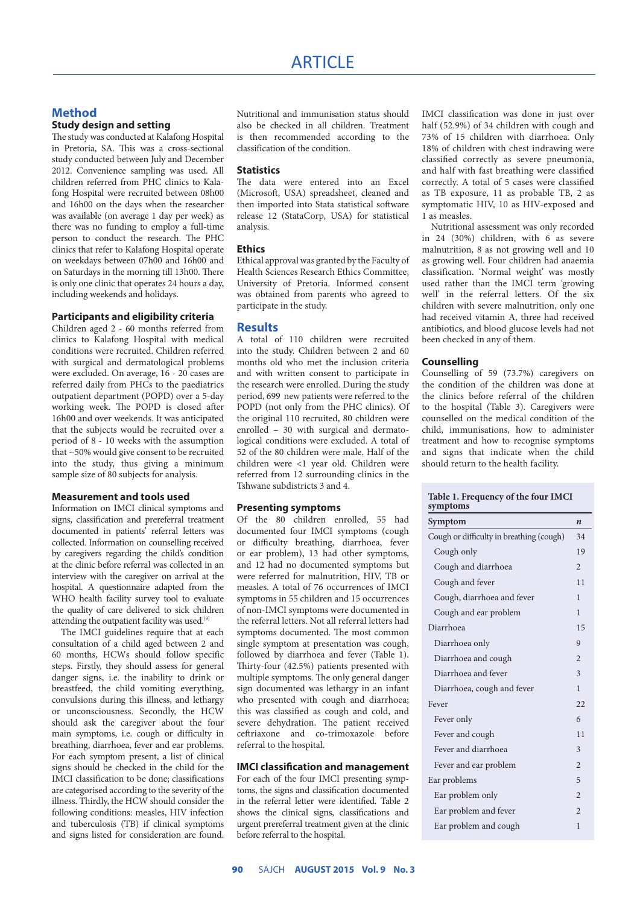## **Method Study design and setting**

The study was conducted at Kalafong Hospital in Pretoria, SA. This was a cross-sectional study conducted between July and December 2012. Convenience sampling was used. All children referred from PHC clinics to Kalafong Hospital were recruited between 08h00 and 16h00 on the days when the researcher was available (on average 1 day per week) as there was no funding to employ a full-time person to conduct the research. The PHC clinics that refer to Kalafong Hospital operate on weekdays between 07h00 and 16h00 and on Saturdays in the morning till 13h00. There is only one clinic that operates 24 hours a day, including weekends and holidays.

# **Participants and eligibility criteria**

Children aged 2 - 60 months referred from clinics to Kalafong Hospital with medical conditions were recruited. Children referred with surgical and dermatological problems were excluded. On average, 16 - 20 cases are referred daily from PHCs to the paediatrics outpatient department (POPD) over a 5-day working week. The POPD is closed after 16h00 and over weekends. It was anticipated that the subjects would be recruited over a period of 8 - 10 weeks with the assumption that ~50% would give consent to be recruited into the study, thus giving a minimum sample size of 80 subjects for analysis.

#### **Measurement and tools used**

Information on IMCI clinical symptoms and signs, classification and prereferral treatment documented in patients' referral letters was collected. Information on counselling received by caregivers regarding the child's condition at the clinic before referral was collected in an interview with the caregiver on arrival at the hospital. A questionnaire adapted from the WHO health facility survey tool to evaluate the quality of care delivered to sick children attending the outpatient facility was used.[9]

The IMCI guidelines require that at each consultation of a child aged between 2 and 60 months, HCWs should follow specific steps. Firstly, they should assess for general danger signs, i.e. the inability to drink or breastfeed, the child vomiting everything, convulsions during this illness, and lethargy or unconsciousness. Secondly, the HCW should ask the caregiver about the four main symptoms, i.e. cough or difficulty in breathing, diarrhoea, fever and ear problems. For each symptom present, a list of clinical signs should be checked in the child for the IMCI classification to be done; classifications are categorised according to the severity of the illness. Thirdly, the HCW should consider the following conditions: measles, HIV infection and tuberculosis (TB) if clinical symptoms and signs listed for consideration are found.

Nutritional and immunisation status should also be checked in all children. Treatment is then recommended according to the classification of the condition.

#### **Statistics**

The data were entered into an Excel (Microsoft, USA) spreadsheet, cleaned and then imported into Stata statistical software release 12 (StataCorp, USA) for statistical analysis.

#### **Ethics**

Ethical approval was granted by the Faculty of Health Sciences Research Ethics Committee, University of Pretoria. Informed consent was obtained from parents who agreed to participate in the study.

### **Results**

A total of 110 children were recruited into the study. Children between 2 and 60 months old who met the inclusion criteria and with written consent to participate in the research were enrolled. During the study period, 699 new patients were referred to the POPD (not only from the PHC clinics). Of the original 110 recruited, 80 children were enrolled – 30 with surgical and dermatological conditions were excluded. A total of 52 of the 80 children were male. Half of the children were <1 year old. Children were referred from 12 surrounding clinics in the Tshwane subdistricts 3 and 4.

#### **Presenting symptoms**

Of the 80 children enrolled, 55 had documented four IMCI symptoms (cough or difficulty breathing, diarrhoea, fever or ear problem), 13 had other symptoms, and 12 had no documented symptoms but were referred for malnutrition, HIV, TB or measles. A total of 76 occurrences of IMCI symptoms in 55 children and 15 occurrences of non-IMCI symptoms were documented in the referral letters. Not all referral letters had symptoms documented. The most common single symptom at presentation was cough, followed by diarrhoea and fever (Table 1). Thirty-four (42.5%) patients presented with multiple symptoms. The only general danger sign documented was lethargy in an infant who presented with cough and diarrhoea; this was classified as cough and cold, and severe dehydration. The patient received ceftriaxone and co-trimoxazole before referral to the hospital.

#### **IMCI classification and management**

For each of the four IMCI presenting symptoms, the signs and classification documented in the referral letter were identified. Table 2 shows the clinical signs, classifications and urgent prereferral treatment given at the clinic before referral to the hospital.

IMCI classification was done in just over half (52.9%) of 34 children with cough and 73% of 15 children with diarrhoea. Only 18% of children with chest indrawing were classified correctly as severe pneumonia, and half with fast breathing were classified correctly. A total of 5 cases were classified as TB exposure, 11 as probable TB, 2 as symptomatic HIV, 10 as HIV-exposed and 1 as measles.

Nutritional assessment was only recorded in 24 (30%) children, with 6 as severe malnutrition, 8 as not growing well and 10 as growing well. Four children had anaemia classification. 'Normal weight' was mostly used rather than the IMCI term 'growing well' in the referral letters. Of the six children with severe malnutrition, only one had received vitamin A, three had received antibiotics, and blood glucose levels had not been checked in any of them.

#### **Counselling**

Counselling of 59 (73.7%) caregivers on the condition of the children was done at the clinics before referral of the children to the hospital (Table 3). Caregivers were counselled on the medical condition of the child, immunisations, how to administer treatment and how to recognise symptoms and signs that indicate when the child should return to the health facility.

#### **Table 1. Frequency of the four IMCI symptoms**

| Symptom                                  | n              |  |  |
|------------------------------------------|----------------|--|--|
| Cough or difficulty in breathing (cough) |                |  |  |
| Cough only                               | 19             |  |  |
| Cough and diarrhoea                      | $\mathfrak{D}$ |  |  |
| Cough and fever                          | 11             |  |  |
| Cough, diarrhoea and fever               | 1              |  |  |
| Cough and ear problem                    | 1              |  |  |
| Diarrhoea                                | 15             |  |  |
| Diarrhoea only                           | 9              |  |  |
| Diarrhoea and cough                      | $\mathfrak{D}$ |  |  |
| Diarrhoea and fever                      | 3              |  |  |
| Diarrhoea, cough and fever               | 1              |  |  |
| Fever                                    | 22             |  |  |
| Fever only                               | 6              |  |  |
| Fever and cough                          | 11             |  |  |
| Fever and diarrhoea                      | 3              |  |  |
| Fever and ear problem                    | $\mathfrak{D}$ |  |  |
| Ear problems                             |                |  |  |
| Ear problem only                         | $\overline{2}$ |  |  |
| Ear problem and fever                    | $\mathfrak{D}$ |  |  |
| Ear problem and cough                    | 1              |  |  |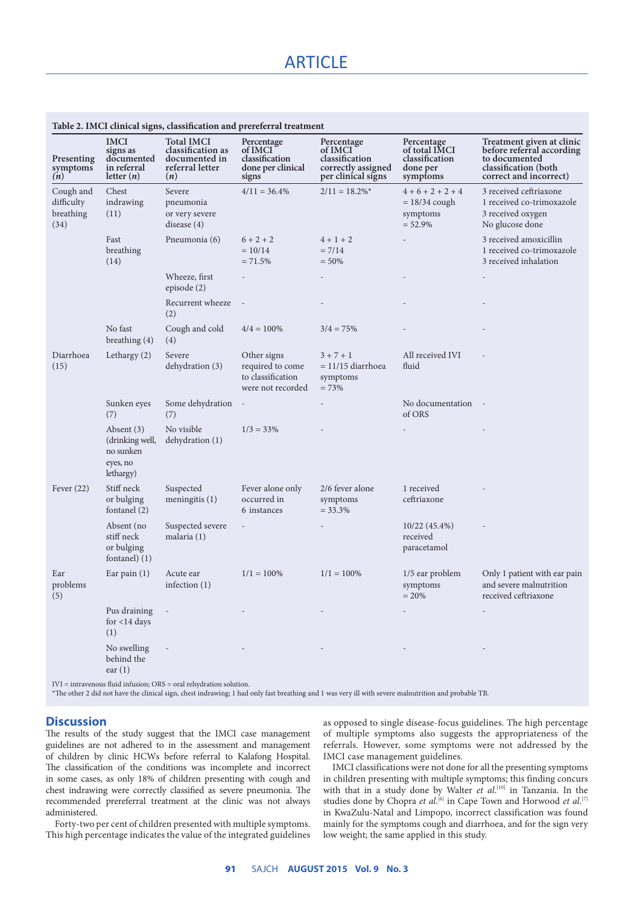| Presenting<br>symptoms<br>(n)                | <b>IMCI</b><br>signs as<br>documented<br>in referral<br>letter $(n)$  | <b>Total IMCI</b><br>classification as<br>documented in<br>referral letter<br>(n) | Percentage<br>of IMCI<br>classification<br>done per clinical<br>signs     | Percentage<br>of IMCI<br>classification<br>correctly assigned<br>per clinical signs | Percentage<br>of total IMCI<br>classification<br>done per<br>symptoms | Treatment given at clinic<br>before referral according<br>to documented<br>classification (both<br>correct and incorrect) |
|----------------------------------------------|-----------------------------------------------------------------------|-----------------------------------------------------------------------------------|---------------------------------------------------------------------------|-------------------------------------------------------------------------------------|-----------------------------------------------------------------------|---------------------------------------------------------------------------------------------------------------------------|
| Cough and<br>difficulty<br>breathing<br>(34) | Chest<br>indrawing<br>(11)                                            | Severe<br>pneumonia<br>or very severe<br>disease (4)                              | $4/11 = 36.4\%$                                                           | $2/11 = 18.2\%$ <sup>*</sup>                                                        | $4+6+2+2+4$<br>$= 18/34$ cough<br>symptoms<br>$= 52.9%$               | 3 received ceftriaxone<br>1 received co-trimoxazole<br>3 received oxygen<br>No glucose done                               |
|                                              | Fast<br>breathing<br>(14)                                             | Pneumonia (6)                                                                     | $6 + 2 + 2$<br>$= 10/14$<br>$= 71.5%$                                     | $4 + 1 + 2$<br>$= 7/14$<br>$= 50\%$                                                 |                                                                       | 3 received amoxicillin<br>1 received co-trimoxazole<br>3 received inhalation                                              |
|                                              |                                                                       | Wheeze, first<br>episode (2)                                                      |                                                                           |                                                                                     |                                                                       |                                                                                                                           |
|                                              |                                                                       | Recurrent wheeze<br>(2)                                                           |                                                                           |                                                                                     |                                                                       |                                                                                                                           |
|                                              | No fast<br>breathing (4)                                              | Cough and cold<br>(4)                                                             | $4/4 = 100\%$                                                             | $3/4 = 75%$                                                                         |                                                                       |                                                                                                                           |
| Diarrhoea<br>(15)                            | Lethargy $(2)$                                                        | Severe<br>dehydration (3)                                                         | Other signs<br>required to come<br>to classification<br>were not recorded | $3 + 7 + 1$<br>$= 11/15$ diarrhoea<br>symptoms<br>$= 73%$                           | All received IVI<br>fluid                                             |                                                                                                                           |
|                                              | Sunken eyes<br>(7)                                                    | Some dehydration<br>(7)                                                           |                                                                           |                                                                                     | No documentation -<br>of ORS                                          |                                                                                                                           |
|                                              | Absent $(3)$<br>(drinking well,<br>no sunken<br>eyes, no<br>lethargy) | No visible<br>dehydration (1)                                                     | $1/3 = 33\%$                                                              |                                                                                     |                                                                       |                                                                                                                           |
| Fever $(22)$                                 | Stiff neck<br>or bulging<br>fontanel (2)                              | Suspected<br>meningitis $(1)$                                                     | Fever alone only<br>occurred in<br>6 instances                            | 2/6 fever alone<br>symptoms<br>$= 33.3%$                                            | 1 received<br>ceftriaxone                                             |                                                                                                                           |
|                                              | Absent (no<br>stiff neck<br>or bulging<br>fontanel $(1)$              | Suspected severe<br>malaria (1)                                                   |                                                                           |                                                                                     | $10/22(45.4\%)$<br>received<br>paracetamol                            |                                                                                                                           |
| Ear<br>problems<br>(5)                       | Ear pain $(1)$                                                        | Acute ear<br>infection $(1)$                                                      | $1/1 = 100\%$                                                             | $1/1 = 100\%$                                                                       | 1/5 ear problem<br>symptoms<br>$= 20%$                                | Only 1 patient with ear pain<br>and severe malnutrition<br>received ceftriaxone                                           |
|                                              | Pus draining<br>for $<$ 14 days<br>(1)                                |                                                                                   |                                                                           |                                                                                     |                                                                       |                                                                                                                           |
|                                              | No swelling<br>behind the<br>ear(1)                                   |                                                                                   |                                                                           |                                                                                     |                                                                       |                                                                                                                           |

# **Table 2. IMCI clinical signs, classification and prereferral treatment**

IVI = intravenous fluid infusion; ORS = oral rehydration solution.

\*The other 2 did not have the clinical sign, chest indrawing; 1 had only fast breathing and 1 was very ill with severe malnutrition and probable TB.

# **Discussion**

The results of the study suggest that the IMCI case management guidelines are not adhered to in the assessment and management of children by clinic HCWs before referral to Kalafong Hospital. The classification of the conditions was incomplete and incorrect in some cases, as only 18% of children presenting with cough and chest indrawing were correctly classified as severe pneumonia. The recommended prereferral treatment at the clinic was not always administered.

Forty-two per cent of children presented with multiple symptoms. This high percentage indicates the value of the integrated guidelines

as opposed to single disease-focus guidelines. The high percentage of multiple symptoms also suggests the appropriateness of the referrals. However, some symptoms were not addressed by the IMCI case management guidelines.

IMCI classifications were not done for all the presenting symptoms in children presenting with multiple symptoms; this finding concurs with that in a study done by Walter *et al*.<sup>[10]</sup> in Tanzania. In the studies done by Chopra et al.<sup>[6]</sup> in Cape Town and Horwood et al.<sup>[7]</sup> in KwaZulu-Natal and Limpopo, incorrect classification was found mainly for the symptoms cough and diarrhoea, and for the sign very low weight; the same applied in this study.